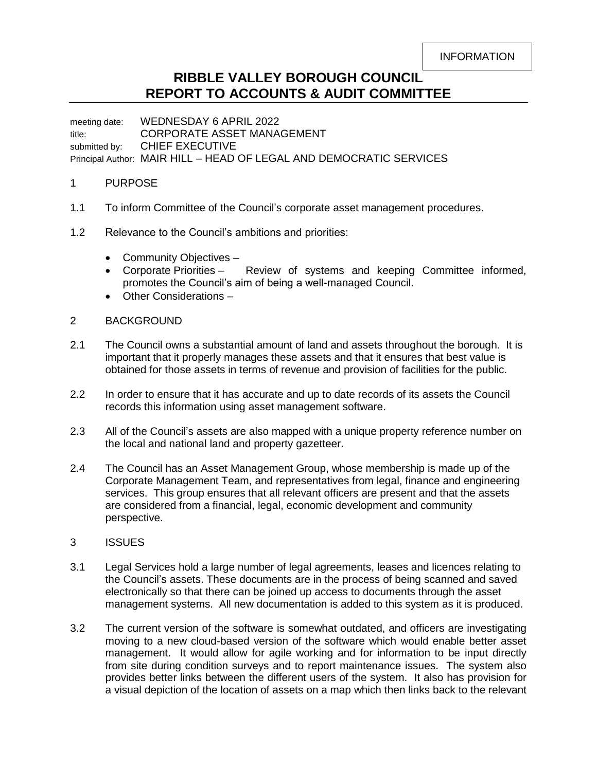## **RIBBLE VALLEY BOROUGH COUNCIL REPORT TO ACCOUNTS & AUDIT COMMITTEE**

meeting date: WEDNESDAY 6 APRIL 2022 title: CORPORATE ASSET MANAGEMENT submitted by: CHIEF EXECUTIVE Principal Author: MAIR HILL – HEAD OF LEGAL AND DEMOCRATIC SERVICES

## 1 PURPOSE

- 1.1 To inform Committee of the Council's corporate asset management procedures.
- 1.2 Relevance to the Council's ambitions and priorities:
	- Community Objectives -
	- Corporate Priorities Review of systems and keeping Committee informed, promotes the Council's aim of being a well-managed Council.
	- Other Considerations –
- 2 BACKGROUND
- 2.1 The Council owns a substantial amount of land and assets throughout the borough. It is important that it properly manages these assets and that it ensures that best value is obtained for those assets in terms of revenue and provision of facilities for the public.
- 2.2 In order to ensure that it has accurate and up to date records of its assets the Council records this information using asset management software.
- 2.3 All of the Council's assets are also mapped with a unique property reference number on the local and national land and property gazetteer.
- 2.4 The Council has an Asset Management Group, whose membership is made up of the Corporate Management Team, and representatives from legal, finance and engineering services. This group ensures that all relevant officers are present and that the assets are considered from a financial, legal, economic development and community perspective.
- 3 ISSUES
- 3.1 Legal Services hold a large number of legal agreements, leases and licences relating to the Council's assets. These documents are in the process of being scanned and saved electronically so that there can be joined up access to documents through the asset management systems. All new documentation is added to this system as it is produced.
- 3.2 The current version of the software is somewhat outdated, and officers are investigating moving to a new cloud-based version of the software which would enable better asset management. It would allow for agile working and for information to be input directly from site during condition surveys and to report maintenance issues. The system also provides better links between the different users of the system. It also has provision for a visual depiction of the location of assets on a map which then links back to the relevant